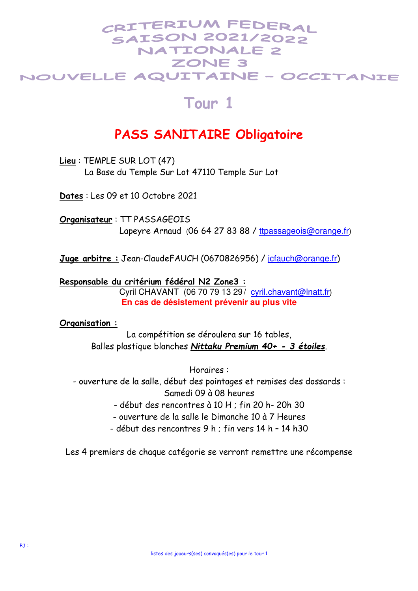## CRITERIUM FEDERAI **SAISON 2021/2022 NATIONALE 2** ZONE 3 NOUVELLE AQUITAINE - OCCITANIE

## **Tour 1**

## **PASS SANITAIRE Obligatoire**

**Lieu** : TEMPLE SUR LOT (47) La Base du Temple Sur Lot 47110 Temple Sur Lot

**Dates** : Les 09 et 10 Octobre 2021

**Organisateur** : TT PASSAGEOIS Lapeyre Arnaud (06 64 27 83 88 / ttpassageois@orange.fr)

**Juge arbitre :** Jean-ClaudeFAUCH (0670826956) / jcfauch@orange.fr)

**Responsable du critérium fédéral N2 Zone3 :** Cyril CHAVANT (06 70 79 13 29/ cyril.chavant@lnatt.fr) **En cas de désistement prévenir au plus vite** 

## **Organisation :**

La compétition se déroulera sur 16 tables, Balles plastique blanches *Nittaku Premium 40+ - 3 étoiles*.

Horaires :

- ouverture de la salle, début des pointages et remises des dossards : Samedi 09 à 08 heures

- début des rencontres à 10 H ; fin 20 h- 20h 30

- ouverture de la salle le Dimanche 10 à 7 Heures

- début des rencontres 9 h ; fin vers 14 h – 14 h30

Les 4 premiers de chaque catégorie se verront remettre une récompense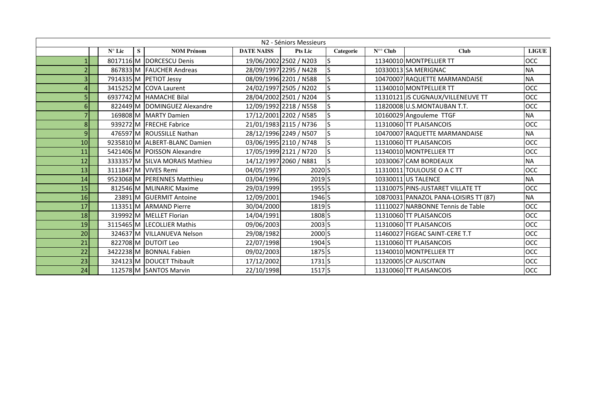|                 | N <sub>2</sub> - Séniors Messieurs |   |                                |                   |                        |           |                                           |                                       |              |  |  |  |
|-----------------|------------------------------------|---|--------------------------------|-------------------|------------------------|-----------|-------------------------------------------|---------------------------------------|--------------|--|--|--|
|                 | $N^{\circ}$ Lic                    | S | <b>NOM Prénom</b>              | <b>DATE NAISS</b> | <b>Pts Lic</b>         | Categorie | $\overline{\mathbf{N}}^{\circ\circ}$ Club | <b>Club</b>                           | <b>LIGUE</b> |  |  |  |
|                 |                                    |   | 8017116 M DORCESCU Denis       |                   | 19/06/2002 2502 / N203 | ls        |                                           | 11340010 MONTPELLIER TT               | <b>OCC</b>   |  |  |  |
|                 |                                    |   | 867833 M FAUCHER Andreas       |                   | 28/09/1997 2295 / N428 | ls        |                                           | 10330013 SA MERIGNAC                  | <b>NA</b>    |  |  |  |
| 3               |                                    |   | 7914335 M PETIOT Jessy         |                   | 08/09/1996 2201 / N588 |           |                                           | 10470007 RAQUETTE MARMANDAISE         | <b>NA</b>    |  |  |  |
| $\overline{a}$  |                                    |   | 3415252 M COVA Laurent         |                   | 24/02/1997 2505 / N202 |           |                                           | 11340010 MONTPELLIER TT               | <b>OCC</b>   |  |  |  |
|                 |                                    |   | 6937742 M HAMACHE Bilal        |                   | 28/04/2002 2501 / N204 |           |                                           | 11310121 JS CUGNAUX/VILLENEUVE TT     | <b>OCC</b>   |  |  |  |
| 6 <sup>1</sup>  |                                    |   | 822449 M DOMINGUEZ Alexandre   |                   | 12/09/1992 2218 / N558 |           |                                           | 11820008 U.S.MONTAUBAN T.T.           | <b>OCC</b>   |  |  |  |
| 7               |                                    |   | 169808 M MARTY Damien          |                   | 17/12/2001 2202 / N585 |           |                                           | 10160029 Angouleme TTGF               | <b>NA</b>    |  |  |  |
| 8 <sup>1</sup>  |                                    |   | 939272 M FRECHE Fabrice        |                   | 21/01/1983 2115 / N736 |           |                                           | 11310060 TT PLAISANCOIS               | <b>OCC</b>   |  |  |  |
| 9 <sub>l</sub>  |                                    |   | 476597 M ROUSSILLE Nathan      |                   | 28/12/1996 2249 / N507 |           |                                           | 10470007 RAQUETTE MARMANDAISE         | <b>NA</b>    |  |  |  |
| 10 <sup>1</sup> |                                    |   | 9235810 M ALBERT-BLANC Damien  |                   | 03/06/1995 2110 / N748 |           |                                           | 11310060 TT PLAISANCOIS               | <b>OCC</b>   |  |  |  |
| 11              |                                    |   | 5421406 M POISSON Alexandre    |                   | 17/05/1999 2121 / N720 |           |                                           | 11340010 MONTPELLIER TT               | <b>OCC</b>   |  |  |  |
| 12              |                                    |   | 3333357 M SILVA MORAIS Mathieu |                   | 14/12/1997 2060 / N881 | ls        |                                           | 10330067 CAM BORDEAUX                 | <b>NA</b>    |  |  |  |
| 13              |                                    |   | 3111847 M VIVES Remi           | 04/05/1997        | 2020 <sub>S</sub>      |           |                                           | 11310011 TOULOUSE O A C TT            | <b>OCC</b>   |  |  |  |
| 14              |                                    |   | 9523068 M PERENNES Matthieu    | 03/04/1996        | $2019$ S               |           |                                           | 10330011 US TALENCE                   | <b>NA</b>    |  |  |  |
| 15              |                                    |   | 812546 M MLINARIC Maxime       | 29/03/1999        | 1955 <sup>S</sup>      |           |                                           | 11310075 PINS-JUSTARET VILLATE TT     | <b>OCC</b>   |  |  |  |
| 16              |                                    |   | 23891 M GUERMIT Antoine        | 12/09/2001        | 1946 S                 |           |                                           | 10870031 PANAZOL PANA-LOISIRS TT (87) | <b>NA</b>    |  |  |  |
| 17              |                                    |   | 113351 M ARMAND Pierre         | 30/04/2000        | 1819 <sub>S</sub>      |           |                                           | 11110027 NARBONNE Tennis de Table     | <b>OCC</b>   |  |  |  |
| 18              |                                    |   | 319992 M MELLET Florian        | 14/04/1991        | 1808 <sub>S</sub>      |           |                                           | 11310060 TT PLAISANCOIS               | OCC          |  |  |  |
| 19              |                                    |   | 3115465 M LECOLLIER Mathis     | 09/06/2003        | $2003$ $S$             |           |                                           | 11310060 TT PLAISANCOIS               | <b>OCC</b>   |  |  |  |
| 20              |                                    |   | 324637 M VILLANUEVA Nelson     | 29/08/1982        | 2000 S                 |           |                                           | 11460027 FIGEAC SAINT-CERE T.T        | <b>OCC</b>   |  |  |  |
| 21              |                                    |   | 822708 M DUTOIT Leo            | 22/07/1998        | 1904 <sub>S</sub>      |           |                                           | 11310060 TT PLAISANCOIS               | <b>OCC</b>   |  |  |  |
| 22              |                                    |   | 3422238 M BONNAL Fabien        | 09/02/2003        | 1875 <sub>S</sub>      |           |                                           | 11340010 MONTPELLIER TT               | <b>OCC</b>   |  |  |  |
| 23              |                                    |   | 324123 M DOUCET Thibault       | 17/12/2002        | 1731S                  |           |                                           | 11320005 CP AUSCITAIN                 | <b>OCC</b>   |  |  |  |
| 24              |                                    |   | 112578 M SANTOS Marvin         | 22/10/1998        | 1517 <sub>S</sub>      |           |                                           | 11310060 TT PLAISANCOIS               | <b>OCC</b>   |  |  |  |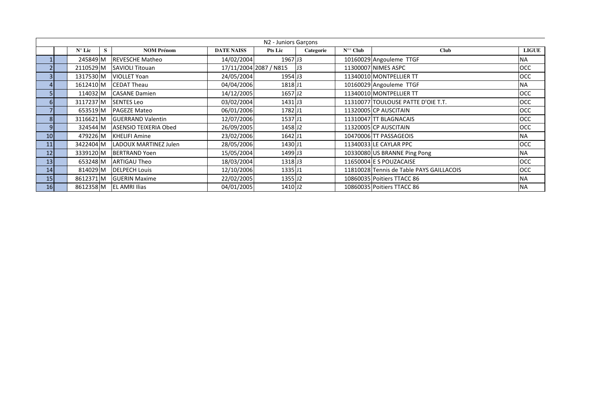|                 |                      |                          |                   | N2 - Juniors Garçons   |           |                  |                                          |              |
|-----------------|----------------------|--------------------------|-------------------|------------------------|-----------|------------------|------------------------------------------|--------------|
|                 | $N^{\circ}$ Lic<br>S | <b>NOM Prénom</b>        | <b>DATE NAISS</b> | <b>Pts Lic</b>         | Categorie | $N^{\circ}$ Club | <b>Club</b>                              | <b>LIGUE</b> |
|                 | 245849 M             | <b>REVESCHE Matheo</b>   | 14/02/2004        | 1967 J3                |           |                  | 10160029 Angouleme TTGF                  | <b>NA</b>    |
|                 | 2110529 M            | <b>SAVIOLI Titouan</b>   |                   | 17/11/2004 2087 / N815 | IJ3       |                  | 11300007 NIMES ASPC                      | <b>OCC</b>   |
| 3               | 1317530 M            | <b>VIOLLET Yoan</b>      | 24/05/2004        | 1954 J3                |           |                  | 11340010 MONTPELLIER TT                  | <b>OCC</b>   |
|                 | 1612410 M            | <b>CEDAT Theau</b>       | 04/04/2006        | 1818 J1                |           |                  | 10160029 Angouleme TTGF                  | <b>NA</b>    |
|                 | 114032 M             | <b>CASANE Damien</b>     | 14/12/2005        | 1657 J2                |           |                  | 11340010 MONTPELLIER TT                  | <b>OCC</b>   |
| $6 \mid$        | 3117237 M            | <b>SENTES Leo</b>        | 03/02/2004        | 1431 J3                |           |                  | 11310077 TOULOUSE PATTE D'OIE T.T.       | <b>OCC</b>   |
|                 | 653519 M             | <b>PAGEZE Mateo</b>      | 06/01/2006        | 1782 J1                |           |                  | 11320005 CP AUSCITAIN                    | <b>OCC</b>   |
| 8 <sup>1</sup>  | 3116621 M            | <b>GUERRAND Valentin</b> | 12/07/2006        | 1537 J1                |           |                  | 11310047 TT BLAGNACAIS                   | <b>OCC</b>   |
| 9               | 324544 M             | ASENSIO TEIXERIA Obed    | 26/09/2005        | 1458 J2                |           |                  | 11320005 CP AUSCITAIN                    | <b>OCC</b>   |
| 10 <sup>1</sup> | 479226 M             | <b>KHELIFI Amine</b>     | 23/02/2006        | 1642 J1                |           |                  | 10470006 TT PASSAGEOIS                   | <b>NA</b>    |
| 11              | 3422404 M            | LADOUX MARTINEZ Julen    | 28/05/2006        | 1430 J1                |           |                  | 11340033 LE CAYLAR PPC                   | OCC          |
| 12              | 3339120 M            | <b>BERTRAND Yoen</b>     | 15/05/2004        | 1499 J3                |           |                  | 10330080 US BRANNE Ping Pong             | <b>NA</b>    |
| 13 <sup>1</sup> | 653248 M             | <b>ARTIGAU Theo</b>      | 18/03/2004        | 1318 J3                |           |                  | 11650004 E S POUZACAISE                  | <b>OCC</b>   |
| 14              | 814029 M             | <b>DELPECH Louis</b>     | 12/10/2006        | 1335JJ1                |           |                  | 11810028 Tennis de Table PAYS GAILLACOIS | <b>OCC</b>   |
| 15 <sub>l</sub> | 8612371 M            | <b>GUERIN Maxime</b>     | 22/02/2005        | 1355 J2                |           |                  | 10860035 Poitiers TTACC 86               | <b>NA</b>    |
| 16              |                      | 8612358 M EL AMRI Ilias  | 04/01/2005        | 1410 J2                |           |                  | 10860035 Poitiers TTACC 86               | <b>NA</b>    |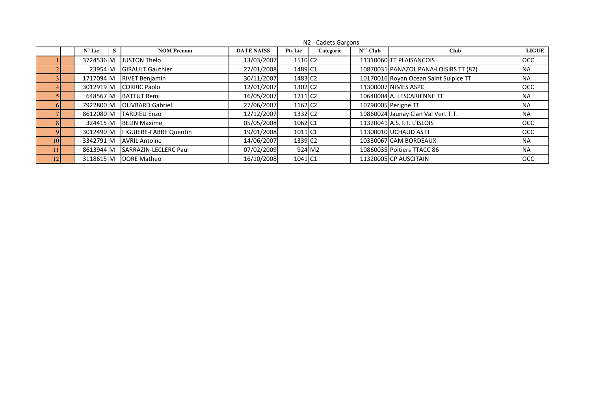|    |                 |   |                               |                   |                     | N2 - Cadets Garcons |                       |                                       |              |
|----|-----------------|---|-------------------------------|-------------------|---------------------|---------------------|-----------------------|---------------------------------------|--------------|
|    | $N^{\circ}$ Lic | s | <b>NOM Prénom</b>             | <b>DATE NAISS</b> | <b>Pts Lic</b>      | Categorie           | $N^{\circ\circ}$ Club | <b>Club</b>                           | <b>LIGUE</b> |
|    | 3724536 M       |   | <b>JUSTON Thelo</b>           | 13/03/2007        | 1510 C <sub>2</sub> |                     |                       | 11310060 TT PLAISANCOIS               | <b>OCC</b>   |
|    | 23954 M         |   | <b>GIRAULT Gauthier</b>       | 27/01/2008        | 1489 C1             |                     |                       | 10870031 PANAZOL PANA-LOISIRS TT (87) | <b>NA</b>    |
|    | 1717094 M       |   | <b>RIVET Benjamin</b>         | 30/11/2007        | 1483 C <sub>2</sub> |                     |                       | 10170016 Royan Ocean Saint Sulpice TT | <b>NA</b>    |
|    | 3012919 M       |   | <b>CORRIC Paolo</b>           | 12/01/2007        | 1302 C <sub>2</sub> |                     |                       | 11300007 NIMES ASPC                   | <b>OCC</b>   |
|    | 648567 M        |   | <b>BATTUT Remi</b>            | 16/05/2007        | 1211 C <sub>2</sub> |                     |                       | 10640004 A. LESCARIENNE TT            | <b>NA</b>    |
|    | 7922800 M       |   | <b>OUVRARD Gabriel</b>        | 27/06/2007        | 1162 C <sub>2</sub> |                     |                       | 10790005 Perigne TT                   | <b>NA</b>    |
|    | 8612080 M       |   | <b>TARDIEU Enzo</b>           | 12/12/2007        | 1332 C <sub>2</sub> |                     |                       | 10860024 Jaunay Clan Val Vert T.T.    | <b>NA</b>    |
|    | 324415 M        |   | <b>BELIN Maxime</b>           | 05/05/2008        | 1062 C1             |                     |                       | 11320041 A.S.T.T. L'ISLOIS            | <b>OCC</b>   |
|    | 3012490 M       |   | <b>FIGUIERE-FABRE Quentin</b> | 19/01/2008        | 1011 C1             |                     |                       | 11300010 UCHAUD ASTT                  | OCC          |
| 10 | 3342791 M       |   | <b>AVRIL Antoine</b>          | 14/06/2007        | 1339 C <sub>2</sub> |                     |                       | 10330067 CAM BORDEAUX                 | <b>NA</b>    |
|    | 8613944 M       |   | <b>ISARRAZIN-LECLERC Paul</b> | 07/02/2009        |                     | 924 M2              |                       | 10860035 Poitiers TTACC 86            | <b>NA</b>    |
| 12 | 3118615 M       |   | DORE Matheo                   | 16/10/2008        | 1041 C1             |                     |                       | 11320005 CP AUSCITAIN                 | <b>OCC</b>   |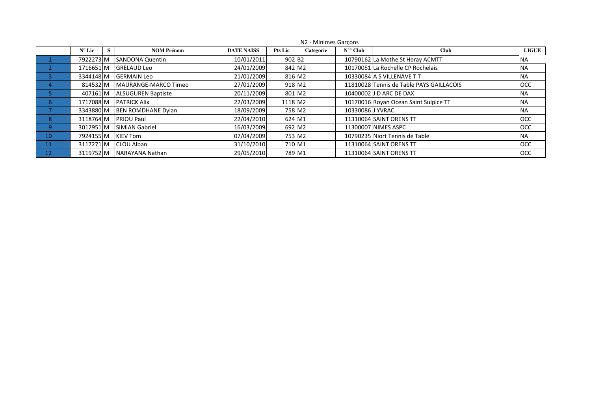|                 |                 |   |                             |                   |                    | N2 - Minimes Garçons |                       |                                          |            |
|-----------------|-----------------|---|-----------------------------|-------------------|--------------------|----------------------|-----------------------|------------------------------------------|------------|
|                 | $N^{\circ}$ Lic | S | <b>NOM Prénom</b>           | <b>DATE NAISS</b> | <b>Pts Lic</b>     | Categorie            | $N^{\circ\circ}$ Club | <b>Club</b>                              | LIGUE      |
|                 | 7922273 M       |   | <b>SANDONA Quentin</b>      | 10/01/2011        | 902 B <sub>2</sub> |                      |                       | 10790162 La Mothe St Heray ACMTT         | <b>NA</b>  |
|                 | 1716651 M       |   | <b>GRELAUD Leo</b>          | 24/01/2009        |                    | 842 M2               |                       | 10170051 La Rochelle CP Rochelais        | <b>NA</b>  |
|                 | 3344148 M       |   | <b>GERMAIN Leo</b>          | 21/01/2009        |                    | 816 M2               |                       | 10330084 A S VILLENAVE T T               | <b>NA</b>  |
|                 | 814532 M        |   | <b>MAURANGE-MARCO Timeo</b> | 27/01/2009        |                    | 918 M2               |                       | 11810028 Tennis de Table PAYS GAILLACOIS | <b>OCC</b> |
|                 | 407161 M        |   | <b>ALSUGUREN Baptiste</b>   | 20/11/2009        | 801 M2             |                      |                       | 10400002 J D ARC DE DAX                  | <b>NA</b>  |
|                 | 1717088 M       |   | <b>PATRICK Alix</b>         | 22/03/2009        | 1118 M2            |                      |                       | 10170016 Royan Ocean Saint Sulpice TT    | <b>NA</b>  |
|                 | 3343880 M       |   | <b>BEN ROMDHANE Dylan</b>   | 18/09/2009        |                    | 758 M2               | 10330086 J YVRAC      |                                          | <b>NA</b>  |
|                 | 3118764 M       |   | <b>PRIOU Paul</b>           | 22/04/2010        | 624 M1             |                      |                       | 11310064 SAINT ORENS TT                  | <b>OCC</b> |
|                 | 3012951 M       |   | <b>SIMIAN Gabriel</b>       | 16/03/2009        | 692 M2             |                      |                       | 11300007 NIMES ASPC                      | <b>OCC</b> |
| 10 <sup>1</sup> | 7924155 M       |   | <b>KIEV Tom</b>             | 07/04/2009        |                    | 753 M2               |                       | 10790235 Niort Tennis de Table           | <b>NA</b>  |
| 11              | 3117271 M       |   | <b>CLOU Alban</b>           | 31/10/2010        | 710 M1             |                      |                       | 11310064 SAINT ORENS TT                  | <b>OCC</b> |
| 12              | 3119752 M       |   | NARAYANA Nathan             | 29/05/2010        | 789 M1             |                      |                       | 11310064 SAINT ORENS TT                  | <b>OCC</b> |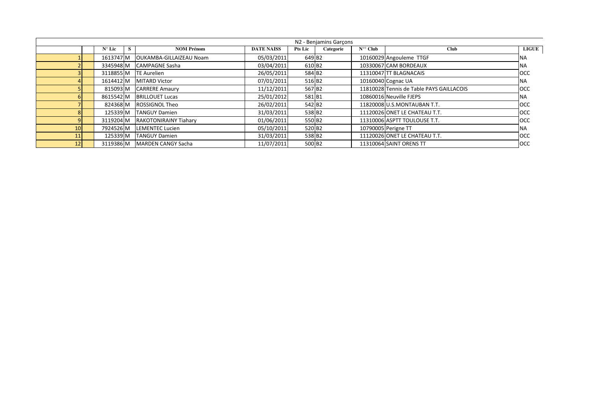|    |                 |                                |                   |                    | N2 - Benjamins Garcons |                  |                                          |              |
|----|-----------------|--------------------------------|-------------------|--------------------|------------------------|------------------|------------------------------------------|--------------|
|    | $N^{\circ}$ Lic | <b>NOM Prénom</b>              | <b>DATE NAISS</b> | <b>Pts Lic</b>     | Categorie              | $N^{\circ}$ Club | <b>Club</b>                              | <b>LIGUE</b> |
|    | 1613747 M       | <b>OUKAMBA-GILLAIZEAU Noam</b> | 05/03/2011        | 649 B <sub>2</sub> |                        |                  | 10160029 Angouleme TTGF                  | <b>NA</b>    |
|    | 3345948 M       | <b>CAMPAGNE Sasha</b>          | 03/04/2011        | 610 B <sub>2</sub> |                        |                  | 10330067 CAM BORDEAUX                    | <b>NA</b>    |
|    | 3118855 M       | <b>ITE Aurelien</b>            | 26/05/2011        | 584 B2             |                        |                  | 11310047 TT BLAGNACAIS                   | <b>OCC</b>   |
|    | 1614412 M       | <b>MITARD Victor</b>           | 07/01/2011        | 516 B <sub>2</sub> |                        |                  | 10160040 Cognac UA                       | <b>NA</b>    |
|    | 815093 M        | <b>CARRERE Amaury</b>          | 11/12/2011        | 567 B <sub>2</sub> |                        |                  | 11810028 Tennis de Table PAYS GAILLACOIS | <b>OCC</b>   |
|    | 8615542 M       | <b>BRILLOUET Lucas</b>         | 25/01/2012        | 581B1              |                        |                  | 10860016 Neuville FJEPS                  | <b>NA</b>    |
|    | 824368 M        | <b>ROSSIGNOL Theo</b>          | 26/02/2011        | 542 B2             |                        |                  | 11820008 U.S.MONTAUBAN T.T.              | <b>OCC</b>   |
|    | 125339 M        | <b>TANGUY Damien</b>           | 31/03/2011        | 538 B2             |                        |                  | 11120026 ONET LE CHATEAU T.T.            | <b>OCC</b>   |
|    | 3119204 M       | <b>RAKOTONIRAINY Tiahary</b>   | 01/06/2011        | 550 B <sub>2</sub> |                        |                  | 11310006 ASPTT TOULOUSE T.T.             | <b>OCC</b>   |
| 10 | 7924526 M       | <b>LEMENTEC Lucien</b>         | 05/10/2011        | 520 B <sub>2</sub> |                        |                  | 10790005 Perigne TT                      | <b>NA</b>    |
| 11 | 125339 M        | <b>TANGUY Damien</b>           | 31/03/2011        | 538 B2             |                        |                  | 11120026 ONET LE CHATEAU T.T.            | <b>OCC</b>   |
| 12 | 3119386 M       | <b>MARDEN CANGY Sacha</b>      | 11/07/2011        | 500 B <sub>2</sub> |                        |                  | 11310064 SAINT ORENS TT                  | <b>OCC</b>   |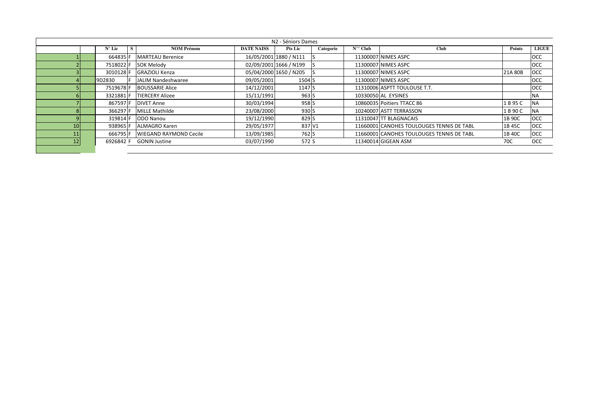|     | N2 - Séniors Dames |                 |  |                               |                   |                        |           |                  |                                           |               |                    |  |  |
|-----|--------------------|-----------------|--|-------------------------------|-------------------|------------------------|-----------|------------------|-------------------------------------------|---------------|--------------------|--|--|
|     |                    | $N^{\circ}$ Lic |  | <b>NOM Prénom</b>             | <b>DATE NAISS</b> | <b>Pts Lic</b>         | Categorie | $N^{\circ}$ Club | Club                                      | <b>Points</b> | LIGUE <sup>1</sup> |  |  |
|     |                    | 664835 F        |  | <b>MARTEAU Berenice</b>       |                   | 16/05/2001 1880 / N111 |           |                  | 11300007 NIMES ASPC                       |               | <b>OCC</b>         |  |  |
|     |                    | 7518022 F       |  | <b>SOK Melody</b>             |                   | 02/09/2001 1666 / N199 |           |                  | 11300007 NIMES ASPC                       |               | <b>OCC</b>         |  |  |
|     |                    | 3010128 F       |  | <b>GRAZIOLI Kenza</b>         |                   | 05/04/2000 1650 / N205 |           |                  | 11300007 NIMES ASPC                       | 21A 80B       | <b>OCC</b>         |  |  |
|     |                    | 9D2830          |  | JALIM Nandeshwaree            | 09/05/2001        | 1504 <sub>S</sub>      |           |                  | 11300007 NIMES ASPC                       |               | <b>OCC</b>         |  |  |
|     |                    | 7519678 F       |  | <b>BOUSSARIE Alice</b>        | 14/12/2001        | 1147 S                 |           |                  | 11310006 ASPTT TOULOUSE T.T.              |               | <b>OCC</b>         |  |  |
|     |                    | 3321881 F       |  | <b>TIERCERY Alizee</b>        | 15/11/1991        | 963 S                  |           |                  | 10330050 AL EYSINES                       |               | <b>NA</b>          |  |  |
|     |                    | 867597F         |  | <b>DIVET Anne</b>             | 30/03/1994        | 958 <sub>S</sub>       |           |                  | 10860035 Poitiers TTACC 86                | 1 B 95 C      | <b>NA</b>          |  |  |
|     |                    | 366297 F        |  | <b>MILLE Mathilde</b>         | 23/08/2000        | 930 <sub>S</sub>       |           |                  | 10240007 ASTT TERRASSON                   | 1 B 90 C      | <b>NA</b>          |  |  |
|     |                    | 319814 F        |  | ODO Nanou                     | 19/12/1990        | 829 S                  |           |                  | 11310047 TT BLAGNACAIS                    | 1B 90C        | <b>OCC</b>         |  |  |
| 101 |                    | 938965 F        |  | <b>ALMAGRO Karen</b>          | 29/05/1977        | 837 V1                 |           |                  | 11660001 CANOHES TOULOUGES TENNIS DE TABL | 1B 45C        | <b>OCC</b>         |  |  |
|     |                    | 666795 F        |  | <b>WIEGAND RAYMOND Cecile</b> | 13/09/1985        | 762 S                  |           |                  | 11660001 CANOHES TOULOUGES TENNIS DE TABL | 1B 40C        | <b>OCC</b>         |  |  |
| 12  |                    | 6926842 F       |  | <b>GONIN Justine</b>          | 03/07/1990        | 572 S                  |           |                  | 11340014 GIGEAN ASM                       | 70C           | <b>OCC</b>         |  |  |
|     |                    |                 |  |                               |                   |                        |           |                  |                                           |               |                    |  |  |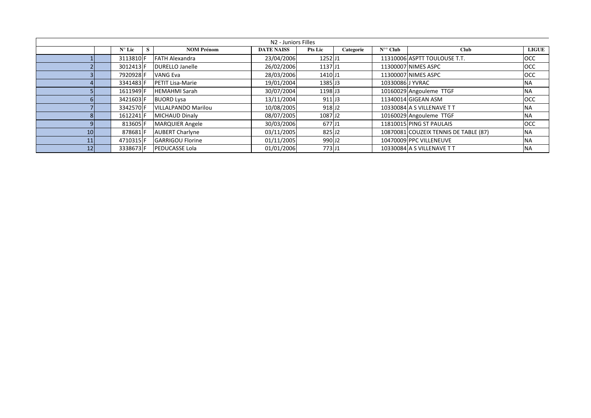|                 |                 |   |                         | N2 - Juniors Filles |                     |           |                       |                                       |              |
|-----------------|-----------------|---|-------------------------|---------------------|---------------------|-----------|-----------------------|---------------------------------------|--------------|
|                 | $N^{\circ}$ Lic | S | <b>NOM Prénom</b>       | <b>DATE NAISS</b>   | <b>Pts Lic</b>      | Categorie | $N^{\circ\circ}$ Club | <b>Club</b>                           | <b>LIGUE</b> |
|                 | 3113810F        |   | <b>FATH Alexandra</b>   | 23/04/2006          | 1252J1              |           |                       | 11310006 ASPTT TOULOUSE T.T.          | <b>OCC</b>   |
|                 | 3012413 F       |   | <b>DURELLO Janelle</b>  | 26/02/2006          | 1137JJ1             |           |                       | 11300007 NIMES ASPC                   | <b>OCC</b>   |
|                 | 7920928 F       |   | <b>VANG Eva</b>         | 28/03/2006          | 1410 J1             |           |                       | 11300007 NIMES ASPC                   | OCC          |
|                 | 3341483 F       |   | <b>PETIT Lisa-Marie</b> | 19/01/2004          | 1385 J3             |           | 10330086 J YVRAC      |                                       | <b>NA</b>    |
|                 | 1611949 F       |   | <b>HEMAHMI Sarah</b>    | 30/07/2004          | 1198 J <sub>3</sub> |           |                       | 10160029 Angouleme TTGF               | <b>NA</b>    |
|                 | 3421603 F       |   | <b>BUORD Lysa</b>       | 13/11/2004          | 911 J <sub>3</sub>  |           |                       | 11340014 GIGEAN ASM                   | OCC          |
|                 | 3342570F        |   | VILLALPANDO Marilou     | 10/08/2005          | 918 J <sub>2</sub>  |           |                       | 10330084 A S VILLENAVE T T            | <b>NA</b>    |
|                 | 1612241 F       |   | MICHAUD Dinaly          | 08/07/2005          | 1087 J <sub>2</sub> |           |                       | 10160029 Angouleme TTGF               | <b>NA</b>    |
|                 | 813605 F        |   | <b>MARQUIER Angele</b>  | 30/03/2006          | 677 J1              |           |                       | 11810015 PING ST PAULAIS              | <b>OCC</b>   |
| 10              | 878681F         |   | <b>AUBERT Charlyne</b>  | 03/11/2005          | 825 J2              |           |                       | 10870081 COUZEIX TENNIS DE TABLE (87) | <b>NA</b>    |
|                 | 4710315 F       |   | <b>GARRIGOU Florine</b> | 01/11/2005          | 990 J <sub>2</sub>  |           |                       | 10470009 PPC VILLENEUVE               | <b>NA</b>    |
| 12 <sub>1</sub> | 3338673 F       |   | <b>PEDUCASSE Lola</b>   | 01/01/2006          | 773 J1              |           |                       | 10330084 A S VILLENAVE T T            | <b>NA</b>    |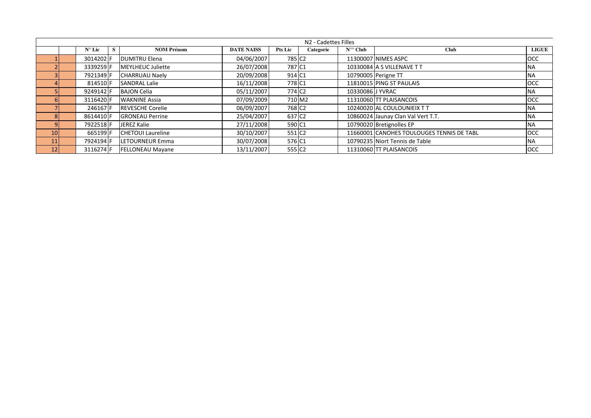|                 |                 |   |                          |                   |                    | N2 - Cadettes Filles |                  |                                           |              |
|-----------------|-----------------|---|--------------------------|-------------------|--------------------|----------------------|------------------|-------------------------------------------|--------------|
|                 | $N^{\circ}$ Lic | S | <b>NOM Prénom</b>        | <b>DATE NAISS</b> | <b>Pts Lic</b>     | Categorie            | $N^{\circ}$ Club | <b>Club</b>                               | <b>LIGUE</b> |
|                 | 3014202 F       |   | <b>DUMITRU Elena</b>     | 04/06/2007        | 785 C <sub>2</sub> |                      |                  | 11300007 NIMES ASPC                       | <b>OCC</b>   |
|                 | 3339259 F       |   | <b>MEYLHEUC Juliette</b> | 26/07/2008        | 787 C1             |                      |                  | 10330084 A S VILLENAVE T T                | <b>NA</b>    |
|                 | 7921349 F       |   | <b>CHARRUAU Naely</b>    | 20/09/2008        | 914 C1             |                      |                  | 10790005 Perigne TT                       | <b>NA</b>    |
|                 | 814510 F        |   | <b>SANDRAL Lalie</b>     | 16/11/2008        | 778 C1             |                      |                  | 11810015 PING ST PAULAIS                  | <b>OCC</b>   |
|                 | 9249142 F       |   | <b>BAJON Celia</b>       | 05/11/2007        | 774 C <sub>2</sub> |                      | 10330086 J YVRAC |                                           | <b>NA</b>    |
|                 | 3116420 F       |   | <b>WAKNINE Assia</b>     | 07/09/2009        | 710 M2             |                      |                  | 11310060 TT PLAISANCOIS                   | OCC          |
|                 | 246167 F        |   | <b>REVESCHE Corelie</b>  | 06/09/2007        | 768 C <sub>2</sub> |                      |                  | 10240020 AL COULOUNIEIX TT                | <b>NA</b>    |
|                 | 8614410 F       |   | <b>GRONEAU Perrine</b>   | 25/04/2007        | 637 C <sub>2</sub> |                      |                  | 10860024 Jaunay Clan Val Vert T.T.        | <b>NA</b>    |
|                 | 7922518 F       |   | JEREZ Kalie              | 27/11/2008        | 590 C1             |                      |                  | 10790020 Bretignolles EP                  | <b>NA</b>    |
| 10              | 665199 F        |   | <b>CHETOUI Laureline</b> | 30/10/2007        | 551 C <sub>2</sub> |                      |                  | 11660001 CANOHES TOULOUGES TENNIS DE TABL | <b>OCC</b>   |
| 11              | 7924194 F       |   | LETOURNEUR Emma          | 30/07/2008        | 576 C1             |                      |                  | 10790235 Niort Tennis de Table            | <b>NA</b>    |
| 12 <sub>1</sub> | 3116274 F       |   | <b>FELLONEAU Mayane</b>  | 13/11/2007        | 555 C <sub>2</sub> |                      |                  | 11310060 TT PLAISANCOIS                   | <b>OCC</b>   |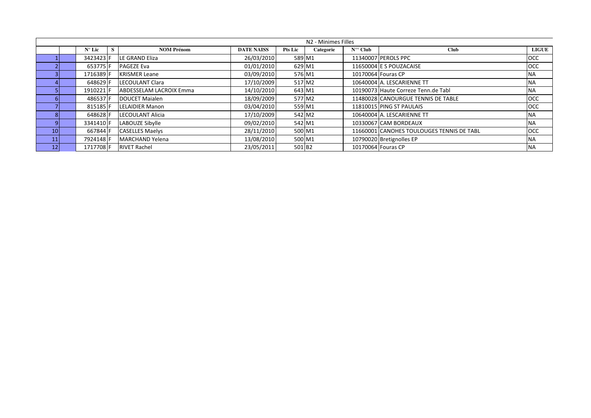|                 |                 |   |                          |                   |                    | N <sub>2</sub> - Minimes Filles |                       |                                           |              |
|-----------------|-----------------|---|--------------------------|-------------------|--------------------|---------------------------------|-----------------------|-------------------------------------------|--------------|
|                 | $N^{\circ}$ Lic | S | <b>NOM Prénom</b>        | <b>DATE NAISS</b> | <b>Pts Lic</b>     | Categorie                       | $N^{\circ\circ}$ Club | <b>Club</b>                               | <b>LIGUE</b> |
|                 | 3423423 F       |   | <b>ILE GRAND Eliza</b>   | 26/03/2010        | 589 M1             |                                 |                       | 11340007 PEROLS PPC                       | <b>OCC</b>   |
|                 | 653775 F        |   | <b>PAGEZE Eva</b>        | 01/01/2010        | 629 M1             |                                 |                       | 11650004 E S POUZACAISE                   | <b>OCC</b>   |
|                 | 1716389 F       |   | <b>KRISMER Leane</b>     | 03/09/2010        |                    | 576 M1                          |                       | 10170064 Fouras CP                        | <b>NA</b>    |
|                 | 648629 F        |   | <b>ILECOULANT Clara</b>  | 17/10/2009        |                    | 517 M2                          |                       | 10640004 A. LESCARIENNE TT                | <b>NA</b>    |
|                 | 1910221 F       |   | ABDESSELAM LACROIX Emma  | 14/10/2010        | 643 M1             |                                 |                       | 10190073 Haute Correze Tenn.de Tabl       | <b>NA</b>    |
|                 | 486537 F        |   | DOUCET Maialen           | 18/09/2009        | 577 M2             |                                 |                       | 11480028 CANOURGUE TENNIS DE TABLE        | <b>OCC</b>   |
|                 | 815185 F        |   | <b>LELAIDIER Manon</b>   | 03/04/2010        |                    | 559 M1                          |                       | 11810015 PING ST PAULAIS                  | <b>OCC</b>   |
|                 | 648628 F        |   | <b>ILECOULANT Alicia</b> | 17/10/2009        | 542 M2             |                                 |                       | 10640004 A. LESCARIENNE TT                | <b>NA</b>    |
|                 | 3341410 F       |   | LABOUZE Sibylle          | 09/02/2010        |                    | 542 M1                          |                       | 10330067 CAM BORDEAUX                     | <b>NA</b>    |
| 10 <sup>1</sup> | 667844 F        |   | <b>CASELLES Maelys</b>   | 28/11/2010        | 500 M1             |                                 |                       | 11660001 CANOHES TOULOUGES TENNIS DE TABL | <b>OCC</b>   |
| 11 <sup>1</sup> | 7924148 F       |   | MARCHAND Yelena          | 13/08/2010        |                    | 500 M1                          |                       | 10790020 Bretignolles EP                  | <b>NA</b>    |
| 12 <sub>1</sub> | 1717708 F       |   | <b>RIVET Rachel</b>      | 23/05/2011        | 501 B <sub>2</sub> |                                 |                       | 10170064 Fouras CP                        | <b>NA</b>    |